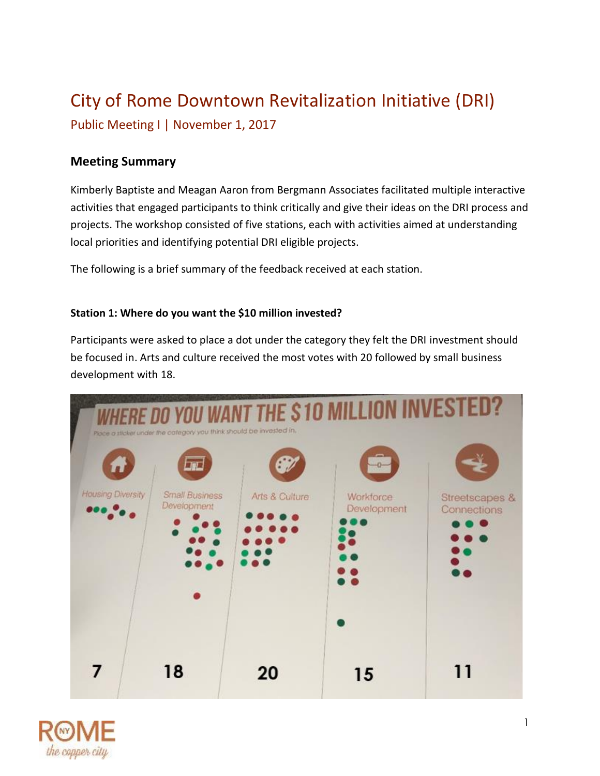## City of Rome Downtown Revitalization Initiative (DRI)

Public Meeting I | November 1, 2017

### **Meeting Summary**

Kimberly Baptiste and Meagan Aaron from Bergmann Associates facilitated multiple interactive activities that engaged participants to think critically and give their ideas on the DRI process and projects. The workshop consisted of five stations, each with activities aimed at understanding local priorities and identifying potential DRI eligible projects.

The following is a brief summary of the feedback received at each station.

#### **Station 1: Where do you want the \$10 million invested?**

Participants were asked to place a dot under the category they felt the DRI investment should be focused in. Arts and culture received the most votes with 20 followed by small business development with 18.



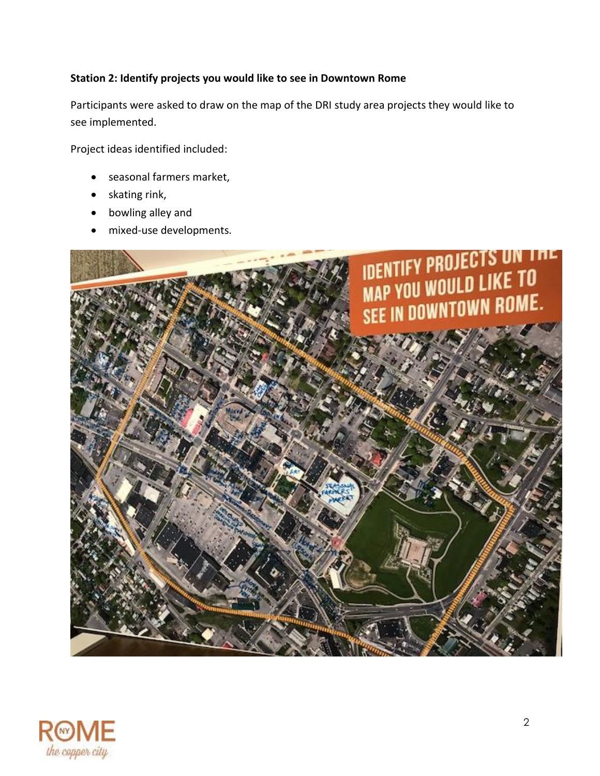#### **Station 2: Identify projects you would like to see in Downtown Rome**

Participants were asked to draw on the map of the DRI study area projects they would like to see implemented.

Project ideas identified included:

- seasonal farmers market,
- skating rink,
- bowling alley and
- mixed-use developments.



![](_page_1_Picture_8.jpeg)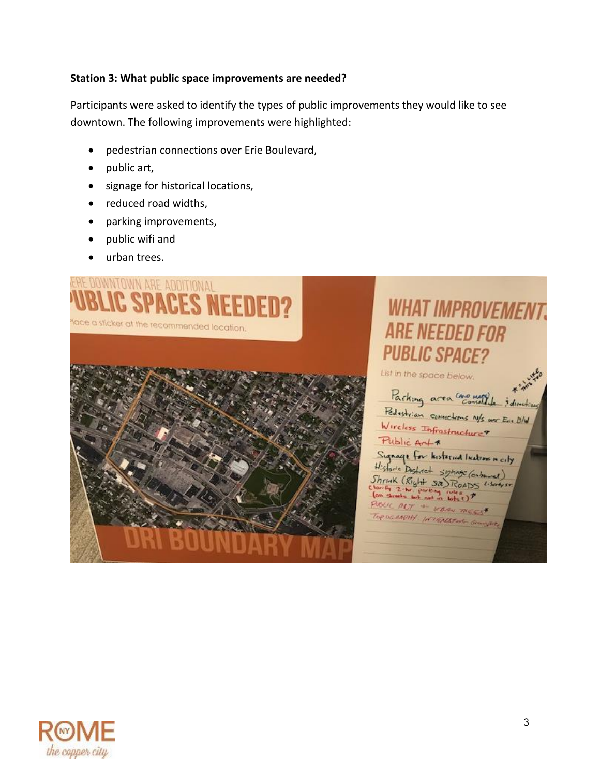#### **Station 3: What public space improvements are needed?**

Participants were asked to identify the types of public improvements they would like to see downtown. The following improvements were highlighted:

- pedestrian connections over Erie Boulevard,
- public art,
- signage for historical locations,
- reduced road widths,
- parking improvements,
- public wifi and
- urban trees.

![](_page_2_Picture_9.jpeg)

# **WHAT IMPROVEMENT. ARE NEEDED FOR PUBLIC SPACE?**

List in the space below.

![](_page_2_Picture_12.jpeg)

![](_page_2_Picture_13.jpeg)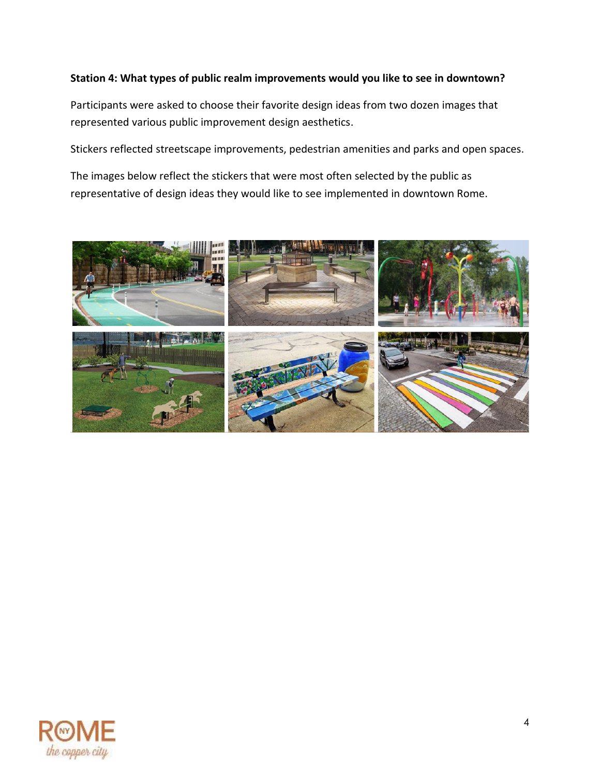#### **Station 4: What types of public realm improvements would you like to see in downtown?**

Participants were asked to choose their favorite design ideas from two dozen images that represented various public improvement design aesthetics.

Stickers reflected streetscape improvements, pedestrian amenities and parks and open spaces.

The images below reflect the stickers that were most often selected by the public as representative of design ideas they would like to see implemented in downtown Rome.

![](_page_3_Picture_4.jpeg)

![](_page_3_Picture_5.jpeg)